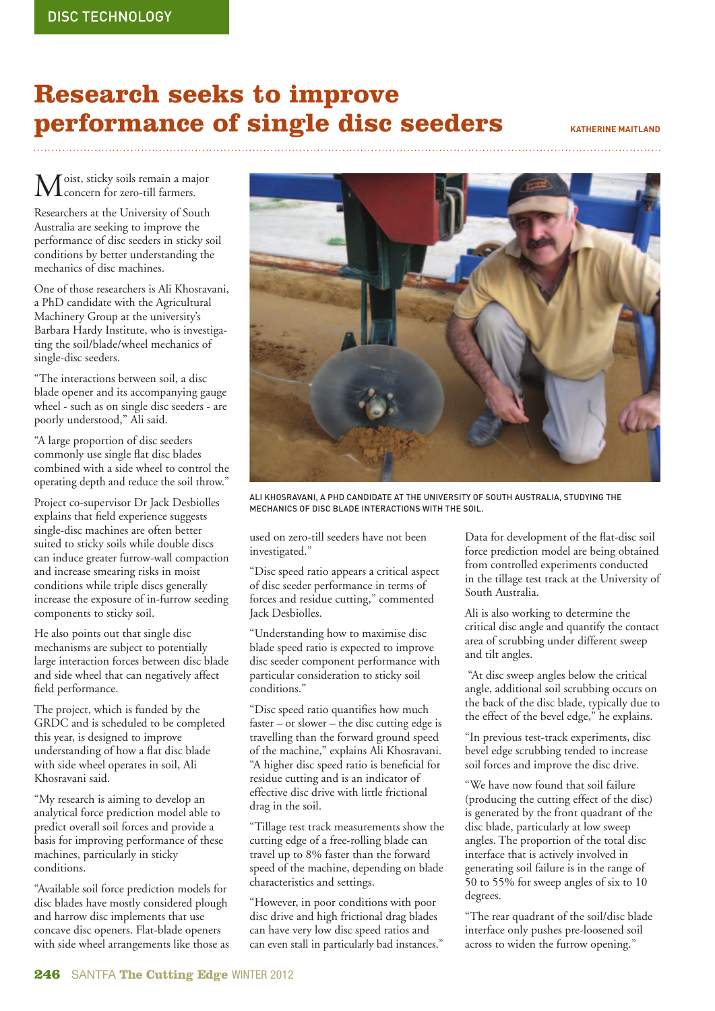## **Research seeks to improve performance of single disc seeders KATHERINE MAITLAND**

 $\mathbf M$ oist, sticky soils remain a major<br>concern for zero-till farmers.

Researchers at the University of South Australia are seeking to improve the performance of disc seeders in sticky soil conditions by better understanding the mechanics of disc machines.

One of those researchers is Ali Khosravani, a PhD candidate with the Agricultural Machinery Group at the university's Barbara Hardy Institute, who is investigating the soil/blade/wheel mechanics of single-disc seeders.

"The interactions between soil, a disc blade opener and its accompanying gauge wheel - such as on single disc seeders - are poorly understood," Ali said.

"A large proportion of disc seeders commonly use single flat disc blades combined with a side wheel to control the operating depth and reduce the soil throw."

Project co-supervisor Dr Jack Desbiolles explains that field experience suggests single-disc machines are often better suited to sticky soils while double discs can induce greater furrow-wall compaction and increase smearing risks in moist conditions while triple discs generally increase the exposure of in-furrow seeding components to sticky soil.

He also points out that single disc mechanisms are subject to potentially large interaction forces between disc blade and side wheel that can negatively affect field performance.

The project, which is funded by the GRDC and is scheduled to be completed this year, is designed to improve understanding of how a flat disc blade with side wheel operates in soil, Ali Khosravani said.

"My research is aiming to develop an analytical force prediction model able to predict overall soil forces and provide a basis for improving performance of these machines, particularly in sticky conditions.

"Available soil force prediction models for disc blades have mostly considered plough and harrow disc implements that use concave disc openers. Flat-blade openers with side wheel arrangements like those as



ALI KHOSRAVANI, A PHD CANDIDATE AT THE UNIVERSITY OF SOUTH AUSTRALIA, STUDYING THE MECHANICS OF DISC BLADE INTERACTIONS WITH THE SOIL.

used on zero-till seeders have not been investigated."

"Disc speed ratio appears a critical aspect of disc seeder performance in terms of forces and residue cutting," commented Jack Desbiolles.

"Understanding how to maximise disc blade speed ratio is expected to improve disc seeder component performance with particular consideration to sticky soil conditions."

"Disc speed ratio quantifies how much faster – or slower – the disc cutting edge is travelling than the forward ground speed of the machine," explains Ali Khosravani. "A higher disc speed ratio is beneficial for residue cutting and is an indicator of effective disc drive with little frictional drag in the soil.

"Tillage test track measurements show the cutting edge of a free-rolling blade can travel up to 8% faster than the forward speed of the machine, depending on blade characteristics and settings.

"However, in poor conditions with poor disc drive and high frictional drag blades can have very low disc speed ratios and can even stall in particularly bad instances." Data for development of the flat-disc soil force prediction model are being obtained from controlled experiments conducted in the tillage test track at the University of South Australia.

Ali is also working to determine the critical disc angle and quantify the contact area of scrubbing under different sweep and tilt angles.

 "At disc sweep angles below the critical angle, additional soil scrubbing occurs on the back of the disc blade, typically due to the effect of the bevel edge," he explains.

"In previous test-track experiments, disc bevel edge scrubbing tended to increase soil forces and improve the disc drive.

"We have now found that soil failure (producing the cutting effect of the disc) is generated by the front quadrant of the disc blade, particularly at low sweep angles. The proportion of the total disc interface that is actively involved in generating soil failure is in the range of 50 to 55% for sweep angles of six to 10 degrees.

"The rear quadrant of the soil/disc blade interface only pushes pre-loosened soil across to widen the furrow opening."